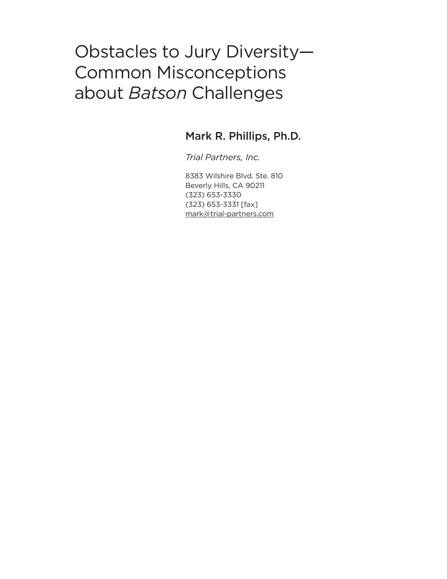# Obstacles to Jury Diversity— Common Misconceptions about *Batson* Challenges

### Mark R. Phillips, Ph.D.

*Trial Partners, Inc.*

8383 Wilshire Blvd. Ste. 810 Beverly Hills, CA 90211 (323) 653-3330 (323) 653-3331 [fax] [mark@trial-partners.com](mailto:mark@trial-partners.com)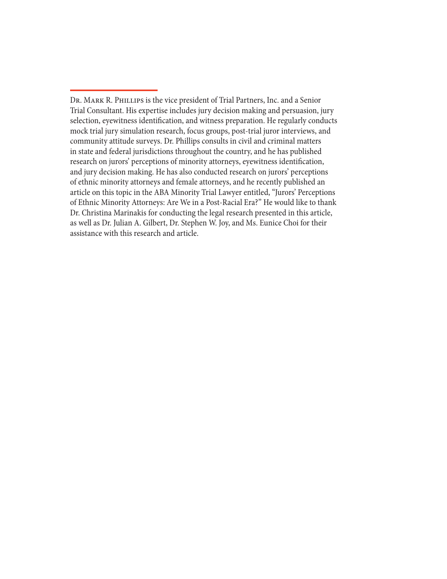Dr. Mark R. Phillips is the vice president of Trial Partners, Inc. and a Senior Trial Consultant. His expertise includes jury decision making and persuasion, jury selection, eyewitness identification, and witness preparation. He regularly conducts mock trial jury simulation research, focus groups, post-trial juror interviews, and community attitude surveys. Dr. Phillips consults in civil and criminal matters in state and federal jurisdictions throughout the country, and he has published research on jurors' perceptions of minority attorneys, eyewitness identification, and jury decision making. He has also conducted research on jurors' perceptions of ethnic minority attorneys and female attorneys, and he recently published an article on this topic in the ABA Minority Trial Lawyer entitled, "Jurors' Perceptions of Ethnic Minority Attorneys: Are We in a Post-Racial Era?" He would like to thank Dr. Christina Marinakis for conducting the legal research presented in this article, as well as Dr. Julian A. Gilbert, Dr. Stephen W. Joy, and Ms. Eunice Choi for their assistance with this research and article.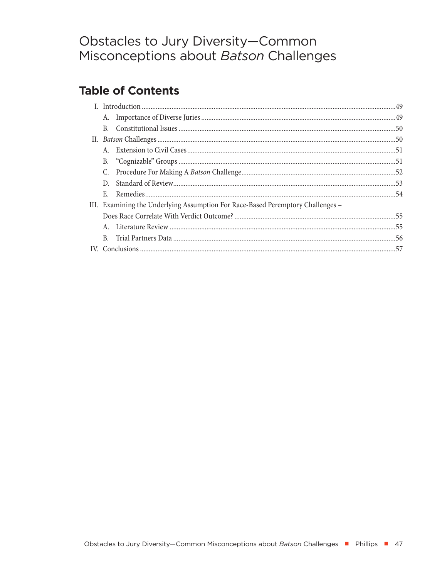## Obstacles to Jury Diversity-Common Misconceptions about Batson Challenges

## **Table of Contents**

|  | B. |                                                                                 |  |
|--|----|---------------------------------------------------------------------------------|--|
|  |    |                                                                                 |  |
|  |    |                                                                                 |  |
|  | В. |                                                                                 |  |
|  | C. |                                                                                 |  |
|  | D. |                                                                                 |  |
|  | E. |                                                                                 |  |
|  |    | III. Examining the Underlying Assumption For Race-Based Peremptory Challenges – |  |
|  |    |                                                                                 |  |
|  |    |                                                                                 |  |
|  | B. |                                                                                 |  |
|  |    |                                                                                 |  |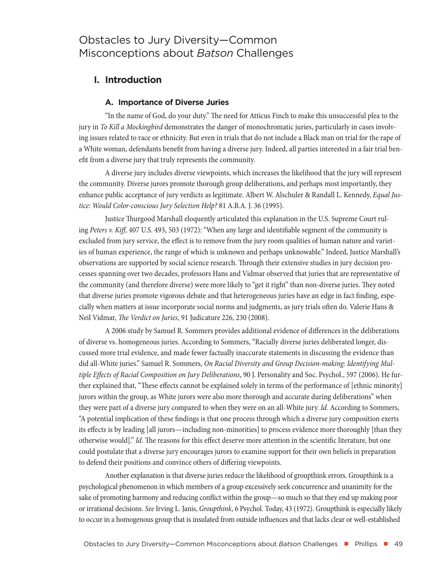## <span id="page-4-0"></span>Obstacles to Jury Diversity—Common Misconceptions about *Batson* Challenges

#### **I. Introduction**

#### **A. Importance of Diverse Juries**

"In the name of God, do your duty." The need for Atticus Finch to make this unsuccessful plea to the jury in *To Kill a Mockingbird* demonstrates the danger of monochromatic juries, particularly in cases involving issues related to race or ethnicity. But even in trials that do not include a Black man on trial for the rape of a White woman, defendants benefit from having a diverse jury. Indeed, all parties interested in a fair trial benefit from a diverse jury that truly represents the community.

A diverse jury includes diverse viewpoints, which increases the likelihood that the jury will represent the community. Diverse jurors promote thorough group deliberations, and perhaps most importantly, they enhance public acceptance of jury verdicts as legitimate. Albert W. Alschuler & Randall L. Kennedy, *Equal Justice: Would Color-conscious Jury Selection Help?* 81 A.B.A. J. 36 (1995).

Justice Thurgood Marshall eloquently articulated this explanation in the U.S. Supreme Court ruling *Peters v. Kiff*, 407 U.S. 493, 503 (1972): "When any large and identifiable segment of the community is excluded from jury service, the effect is to remove from the jury room qualities of human nature and varieties of human experience, the range of which is unknown and perhaps unknowable." Indeed, Justice Marshall's observations are supported by social science research. Through their extensive studies in jury decision processes spanning over two decades, professors Hans and Vidmar observed that juries that are representative of the community (and therefore diverse) were more likely to "get it right" than non-diverse juries. They noted that diverse juries promote vigorous debate and that heterogeneous juries have an edge in fact finding, especially when matters at issue incorporate social norms and judgments, as jury trials often do. Valerie Hans & Neil Vidmar, *The Verdict on Juries*, 91 Judicature 226, 230 (2008).

A 2006 study by Samuel R. Sommers provides additional evidence of differences in the deliberations of diverse vs. homogeneous juries. According to Sommers, "Racially diverse juries deliberated longer, discussed more trial evidence, and made fewer factually inaccurate statements in discussing the evidence than did all-White juries." Samuel R. Sommers, *On Racial Diversity and Group Decision-making: Identifying Multiple Effects of Racial Composition on Jury Deliberations*, 90 J. Personality and Soc. Psychol., 597 (2006). He further explained that, "These effects cannot be explained solely in terms of the performance of [ethnic minority] jurors within the group, as White jurors were also more thorough and accurate during deliberations" when they were part of a diverse jury compared to when they were on an all-White jury. *Id.* According to Sommers, "A potential implication of these findings is that one process through which a diverse jury composition exerts its effects is by leading [all jurors—including non-minorities] to process evidence more thoroughly [than they otherwise would]." *Id.* The reasons for this effect deserve more attention in the scientific literature, but one could postulate that a diverse jury encourages jurors to examine support for their own beliefs in preparation to defend their positions and convince others of differing viewpoints.

Another explanation is that diverse juries reduce the likelihood of groupthink errors. Groupthink is a psychological phenomenon in which members of a group excessively seek concurrence and unanimity for the sake of promoting harmony and reducing conflict within the group—so much so that they end up making poor or irrational decisions. *See* Irving L. Janis, *Groupthink*, 6 Psychol. Today, 43 (1972). Groupthink is especially likely to occur in a homogenous group that is insulated from outside influences and that lacks clear or well-established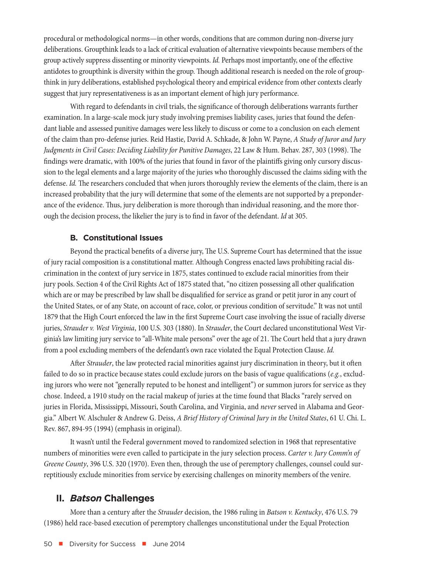<span id="page-5-0"></span>procedural or methodological norms—in other words, conditions that are common during non-diverse jury deliberations. Groupthink leads to a lack of critical evaluation of alternative viewpoints because members of the group actively suppress dissenting or minority viewpoints. *Id.* Perhaps most importantly, one of the effective antidotes to groupthink is diversity within the group. Though additional research is needed on the role of groupthink in jury deliberations, established psychological theory and empirical evidence from other contexts clearly suggest that jury representativeness is as an important element of high jury performance.

With regard to defendants in civil trials, the significance of thorough deliberations warrants further examination. In a large-scale mock jury study involving premises liability cases, juries that found the defendant liable and assessed punitive damages were less likely to discuss or come to a conclusion on each element of the claim than pro-defense juries. Reid Hastie, David A. Schkade, & John W. Payne, *A Study of Juror and Jury Judgments in Civil Cases: Deciding Liability for Punitive Damages*, 22 Law & Hum. Behav. 287, 303 (1998). The findings were dramatic, with 100% of the juries that found in favor of the plaintiffs giving only cursory discussion to the legal elements and a large majority of the juries who thoroughly discussed the claims siding with the defense. *Id.* The researchers concluded that when jurors thoroughly review the elements of the claim, there is an increased probability that the jury will determine that some of the elements are not supported by a preponderance of the evidence. Thus, jury deliberation is more thorough than individual reasoning, and the more thorough the decision process, the likelier the jury is to find in favor of the defendant. *Id* at 305.

#### **B. Constitutional Issues**

Beyond the practical benefits of a diverse jury, The U.S. Supreme Court has determined that the issue of jury racial composition is a constitutional matter. Although Congress enacted laws prohibiting racial discrimination in the context of jury service in 1875, states continued to exclude racial minorities from their jury pools. Section 4 of the Civil Rights Act of 1875 stated that, "no citizen possessing all other qualification which are or may be prescribed by law shall be disqualified for service as grand or petit juror in any court of the United States, or of any State, on account of race, color, or previous condition of servitude." It was not until 1879 that the High Court enforced the law in the first Supreme Court case involving the issue of racially diverse juries, *Strauder v. West Virginia*, 100 U.S. 303 (1880). In *Strauder*, the Court declared unconstitutional West Virginia's law limiting jury service to "all-White male persons" over the age of 21. The Court held that a jury drawn from a pool excluding members of the defendant's own race violated the Equal Protection Clause. *Id.*

After *Strauder*, the law protected racial minorities against jury discrimination in theory, but it often failed to do so in practice because states could exclude jurors on the basis of vague qualifications (*e.g.*, excluding jurors who were not "generally reputed to be honest and intelligent") or summon jurors for service as they chose. Indeed, a 1910 study on the racial makeup of juries at the time found that Blacks "rarely served on juries in Florida, Mississippi, Missouri, South Carolina, and Virginia, and *never* served in Alabama and Georgia." Albert W. Alschuler & Andrew G. Deiss, *A Brief History of Criminal Jury in the United States*, 61 U. Chi. L. Rev. 867, 894-95 (1994) (emphasis in original).

It wasn't until the Federal government moved to randomized selection in 1968 that representative numbers of minorities were even called to participate in the jury selection process. *Carter v. Jury Comm'n of Greene County*, 396 U.S. 320 (1970). Even then, through the use of peremptory challenges, counsel could surreptitiously exclude minorities from service by exercising challenges on minority members of the venire.

#### **II.** *Batson* **Challenges**

More than a century after the *Strauder* decision, the 1986 ruling in *Batson v. Kentucky*, 476 U.S. 79 (1986) held race-based execution of peremptory challenges unconstitutional under the Equal Protection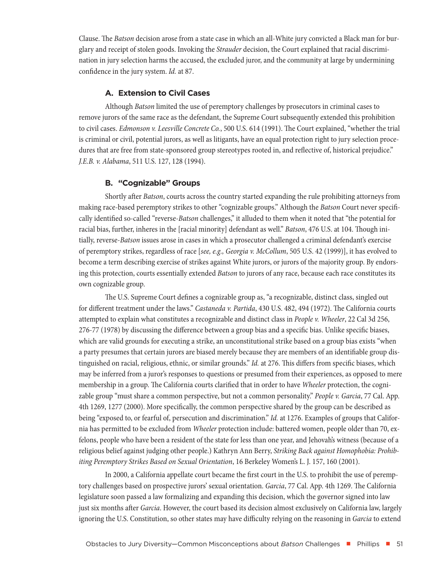<span id="page-6-0"></span>Clause. The *Batson* decision arose from a state case in which an all-White jury convicted a Black man for burglary and receipt of stolen goods. Invoking the *Strauder* decision, the Court explained that racial discrimination in jury selection harms the accused, the excluded juror, and the community at large by undermining confidence in the jury system. *Id.* at 87.

#### **A. Extension to Civil Cases**

Although *Batson* limited the use of peremptory challenges by prosecutors in criminal cases to remove jurors of the same race as the defendant, the Supreme Court subsequently extended this prohibition to civil cases. *Edmonson v. Leesville Concrete Co.*, 500 U.S. 614 (1991). The Court explained, "whether the trial is criminal or civil, potential jurors, as well as litigants, have an equal protection right to jury selection procedures that are free from state-sponsored group stereotypes rooted in, and reflective of, historical prejudice." *J.E.B. v. Alabama*, 511 U.S. 127, 128 (1994).

#### **B. "Cognizable" Groups**

Shortly after *Batson*, courts across the country started expanding the rule prohibiting attorneys from making race-based peremptory strikes to other "cognizable groups." Although the *Batson* Court never specifically identified so-called "reverse-*Batson* challenges," it alluded to them when it noted that "the potential for racial bias, further, inheres in the [racial minority] defendant as well." *Batson*, 476 U.S. at 104. Though initially, reverse-*Batson* issues arose in cases in which a prosecutor challenged a criminal defendant's exercise of peremptory strikes, regardless of race [*see, e.g., Georgia v. McCollum*, 505 U.S. 42 (1999)], it has evolved to become a term describing exercise of strikes against White jurors, or jurors of the majority group. By endorsing this protection, courts essentially extended *Batson* to jurors of any race, because each race constitutes its own cognizable group.

The U.S. Supreme Court defines a cognizable group as, "a recognizable, distinct class, singled out for different treatment under the laws." *Castaneda v. Partida*, 430 U.S. 482, 494 (1972). The California courts attempted to explain what constitutes a recognizable and distinct class in *People v. Wheeler*, 22 Cal 3d 256, 276-77 (1978) by discussing the difference between a group bias and a specific bias. Unlike specific biases, which are valid grounds for executing a strike, an unconstitutional strike based on a group bias exists "when a party presumes that certain jurors are biased merely because they are members of an identifiable group distinguished on racial, religious, ethnic, or similar grounds." *Id.* at 276. This differs from specific biases, which may be inferred from a juror's responses to questions or presumed from their experiences, as opposed to mere membership in a group. The California courts clarified that in order to have *Wheeler* protection, the cognizable group "must share a common perspective, but not a common personality." *People v. Garcia*, 77 Cal. App. 4th 1269, 1277 (2000). More specifically, the common perspective shared by the group can be described as being "exposed to, or fearful of, persecution and discrimination." *Id.* at 1276. Examples of groups that California has permitted to be excluded from *Wheeler* protection include: battered women, people older than 70, exfelons, people who have been a resident of the state for less than one year, and Jehovah's witness (because of a religious belief against judging other people.) Kathryn Ann Berry, *Striking Back against Homophobia: Prohibiting Peremptory Strikes Based on Sexual Orientation*, 16 Berkeley Women's L. J. 157, 160 (2001).

In 2000, a California appellate court became the first court in the U.S. to prohibit the use of peremptory challenges based on prospective jurors' sexual orientation. *Garcia*, 77 Cal. App. 4th 1269. The California legislature soon passed a law formalizing and expanding this decision, which the governor signed into law just six months after *Garcia*. However, the court based its decision almost exclusively on California law, largely ignoring the U.S. Constitution, so other states may have difficulty relying on the reasoning in *Garcia* to extend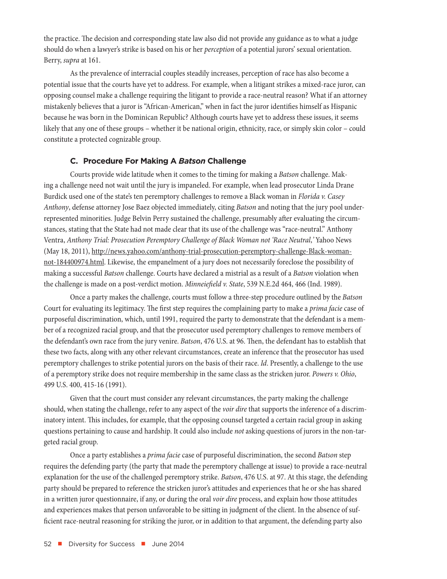<span id="page-7-0"></span>the practice. The decision and corresponding state law also did not provide any guidance as to what a judge should do when a lawyer's strike is based on his or her *perception* of a potential jurors' sexual orientation. Berry, *supra* at 161.

As the prevalence of interracial couples steadily increases, perception of race has also become a potential issue that the courts have yet to address. For example, when a litigant strikes a mixed-race juror, can opposing counsel make a challenge requiring the litigant to provide a race-neutral reason? What if an attorney mistakenly believes that a juror is "African-American," when in fact the juror identifies himself as Hispanic because he was born in the Dominican Republic? Although courts have yet to address these issues, it seems likely that any one of these groups – whether it be national origin, ethnicity, race, or simply skin color – could constitute a protected cognizable group.

#### **C. Procedure For Making A** *Batson* **Challenge**

Courts provide wide latitude when it comes to the timing for making a *Batson* challenge. Making a challenge need not wait until the jury is impaneled. For example, when lead prosecutor Linda Drane Burdick used one of the state's ten peremptory challenges to remove a Black woman in *Florida v. Casey Anthony*, defense attorney Jose Baez objected immediately, citing *Batson* and noting that the jury pool underrepresented minorities. Judge Belvin Perry sustained the challenge, presumably after evaluating the circumstances, stating that the State had not made clear that its use of the challenge was "race-neutral." Anthony Ventra, *Anthony Trial: Prosecution Peremptory Challenge of Black Woman not 'Race Neutral*,*'* Yahoo News (May 18, 2011), [http://news.yahoo.com/anthony-trial-prosecution-peremptory-challenge-Black-woman](http://news.yahoo.com/anthony-trial-prosecution-peremptory-challenge-black-woman-not-184400974.html)[not-184400974.html.](http://news.yahoo.com/anthony-trial-prosecution-peremptory-challenge-black-woman-not-184400974.html) Likewise, the empanelment of a jury does not necessarily foreclose the possibility of making a successful *Batson* challenge. Courts have declared a mistrial as a result of a *Batson* violation when the challenge is made on a post-verdict motion. *Minneiefield v. State*, 539 N.E.2d 464, 466 (Ind. 1989).

Once a party makes the challenge, courts must follow a three-step procedure outlined by the *Batson* Court for evaluating its legitimacy. The first step requires the complaining party to make a *prima facie* case of purposeful discrimination, which, until 1991, required the party to demonstrate that the defendant is a member of a recognized racial group, and that the prosecutor used peremptory challenges to remove members of the defendant's own race from the jury venire. *Batson*, 476 U.S. at 96. Then, the defendant has to establish that these two facts, along with any other relevant circumstances, create an inference that the prosecutor has used peremptory challenges to strike potential jurors on the basis of their race. *Id*. Presently, a challenge to the use of a peremptory strike does not require membership in the same class as the stricken juror. *Powers v. Ohio*, 499 U.S. 400, 415-16 (1991).

Given that the court must consider any relevant circumstances, the party making the challenge should, when stating the challenge, refer to any aspect of the *voir dire* that supports the inference of a discriminatory intent. This includes, for example, that the opposing counsel targeted a certain racial group in asking questions pertaining to cause and hardship. It could also include *not* asking questions of jurors in the non-targeted racial group.

Once a party establishes a *prima facie* case of purposeful discrimination, the second *Batson* step requires the defending party (the party that made the peremptory challenge at issue) to provide a race-neutral explanation for the use of the challenged peremptory strike. *Batson*, 476 U.S. at 97. At this stage, the defending party should be prepared to reference the stricken juror's attitudes and experiences that he or she has shared in a written juror questionnaire, if any, or during the oral *voir dire* process, and explain how those attitudes and experiences makes that person unfavorable to be sitting in judgment of the client. In the absence of sufficient race-neutral reasoning for striking the juror, or in addition to that argument, the defending party also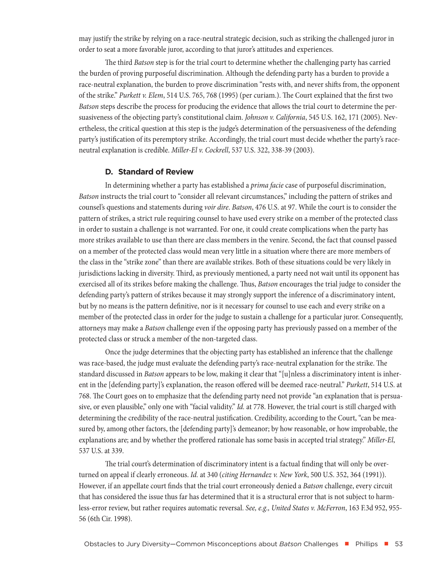<span id="page-8-0"></span>may justify the strike by relying on a race-neutral strategic decision, such as striking the challenged juror in order to seat a more favorable juror, according to that juror's attitudes and experiences.

The third *Batson* step is for the trial court to determine whether the challenging party has carried the burden of proving purposeful discrimination. Although the defending party has a burden to provide a race-neutral explanation, the burden to prove discrimination "rests with, and never shifts from, the opponent of the strike." *Purkett v. Elem*, 514 U.S. 765, 768 (1995) (per curiam.). The Court explained that the first two *Batson* steps describe the process for producing the evidence that allows the trial court to determine the persuasiveness of the objecting party's constitutional claim. *Johnson v. California*, 545 U.S. 162, 171 (2005). Nevertheless, the critical question at this step is the judge's determination of the persuasiveness of the defending party's justification of its peremptory strike. Accordingly, the trial court must decide whether the party's raceneutral explanation is credible. *Miller-El v. Cockrell*, 537 U.S. 322, 338-39 (2003).

#### **D. Standard of Review**

In determining whether a party has established a *prima facie* case of purposeful discrimination, *Batson* instructs the trial court to "consider all relevant circumstances," including the pattern of strikes and counsel's questions and statements during *voir dire*. *Batson*, 476 U.S. at 97. While the court is to consider the pattern of strikes, a strict rule requiring counsel to have used every strike on a member of the protected class in order to sustain a challenge is not warranted. For one, it could create complications when the party has more strikes available to use than there are class members in the venire. Second, the fact that counsel passed on a member of the protected class would mean very little in a situation where there are more members of the class in the "strike zone" than there are available strikes. Both of these situations could be very likely in jurisdictions lacking in diversity. Third, as previously mentioned, a party need not wait until its opponent has exercised all of its strikes before making the challenge. Thus, *Batson* encourages the trial judge to consider the defending party's pattern of strikes because it may strongly support the inference of a discriminatory intent, but by no means is the pattern definitive, nor is it necessary for counsel to use each and every strike on a member of the protected class in order for the judge to sustain a challenge for a particular juror. Consequently, attorneys may make a *Batson* challenge even if the opposing party has previously passed on a member of the protected class or struck a member of the non-targeted class.

Once the judge determines that the objecting party has established an inference that the challenge was race-based, the judge must evaluate the defending party's race-neutral explanation for the strike. The standard discussed in *Batson* appears to be low, making it clear that "[u]nless a discriminatory intent is inherent in the [defending party]'s explanation, the reason offered will be deemed race-neutral." *Purkett*, 514 U.S. at 768. The Court goes on to emphasize that the defending party need not provide "an explanation that is persuasive, or even plausible," only one with "facial validity." *Id.* at 778. However, the trial court is still charged with determining the credibility of the race-neutral justification. Credibility, according to the Court, "can be measured by, among other factors, the [defending party]'s demeanor; by how reasonable, or how improbable, the explanations are; and by whether the proffered rationale has some basis in accepted trial strategy." *Miller-El*, 537 U.S. at 339.

The trial court's determination of discriminatory intent is a factual finding that will only be overturned on appeal if clearly erroneous. *Id.* at 340 (*citing Hernandez v. New York*, 500 U.S. 352, 364 (1991)). However, if an appellate court finds that the trial court erroneously denied a *Batson* challenge, every circuit that has considered the issue thus far has determined that it is a structural error that is not subject to harmless-error review, but rather requires automatic reversal. *See, e.g., United States v. McFerron*, 163 F.3d 952, 955- 56 (6th Cir. 1998).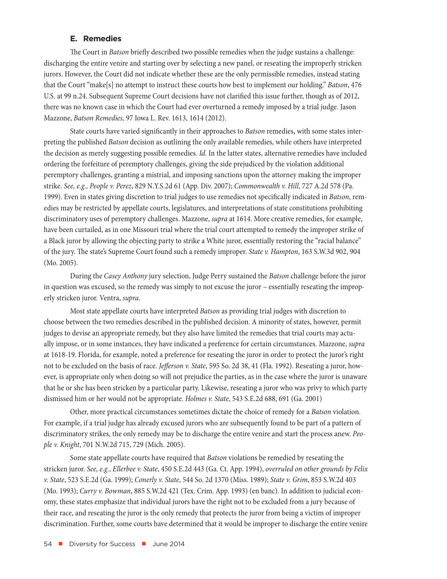#### **E. Remedies**

<span id="page-9-0"></span>The Court in *Batson* briefly described two possible remedies when the judge sustains a challenge: discharging the entire venire and starting over by selecting a new panel, or reseating the improperly stricken jurors. However, the Court did not indicate whether these are the only permissible remedies, instead stating that the Court "make[s] no attempt to instruct these courts how best to implement our holding." *Batson*, 476 U.S. at 99 n.24. Subsequent Supreme Court decisions have not clarified this issue further, though as of 2012, there was no known case in which the Court had ever overturned a remedy imposed by a trial judge. Jason Mazzone, *Batson Remedies,* 97 Iowa L. Rev. 1613, 1614 (2012).

State courts have varied significantly in their approaches to *Batson* remedies, with some states interpreting the published *Batson* decision as outlining the only available remedies, while others have interpreted the decision as merely suggesting possible remedies. *Id.* In the latter states, alternative remedies have included ordering the forfeiture of peremptory challenges, giving the side prejudiced by the violation additional peremptory challenges, granting a mistrial, and imposing sanctions upon the attorney making the improper strike. *See, e.g., People v. Perez*, 829 N.Y.S.2d 61 (App. Div. 2007); *Commonwealth v. Hill*, 727 A.2d 578 (Pa. 1999). Even in states giving discretion to trial judges to use remedies not specifically indicated in *Batson*, remedies may be restricted by appellate courts, legislatures, and interpretations of state constitutions prohibiting discriminatory uses of peremptory challenges. Mazzone, *supra* at 1614. More creative remedies, for example, have been curtailed, as in one Missouri trial where the trial court attempted to remedy the improper strike of a Black juror by allowing the objecting party to strike a White juror, essentially restoring the "racial balance" of the jury. The state's Supreme Court found such a remedy improper. *State v. Hampton*, 163 S.W.3d 902, 904 (Mo. 2005).

During the *Casey Anthony* jury selection, Judge Perry sustained the *Batson* challenge before the juror in question was excused, so the remedy was simply to not excuse the juror – essentially reseating the improperly stricken juror. Ventra, *supra*.

Most state appellate courts have interpreted *Batson* as providing trial judges with discretion to choose between the two remedies described in the published decision. A minority of states, however, permit judges to devise an appropriate remedy, but they also have limited the remedies that trial courts may actually impose, or in some instances, they have indicated a preference for certain circumstances. Mazzone, *supra* at 1618-19. Florida, for example, noted a preference for reseating the juror in order to protect the juror's right not to be excluded on the basis of race. *Jefferson v. State*, 595 So. 2d 38, 41 (Fla. 1992). Reseating a juror, however, is appropriate only when doing so will not prejudice the parties, as in the case where the juror is unaware that he or she has been stricken by a particular party. Likewise, reseating a juror who was privy to which party dismissed him or her would not be appropriate. *Holmes v. State*, 543 S.E.2d 688, 691 (Ga. 2001)

Other, more practical circumstances sometimes dictate the choice of remedy for a *Batson* violation. For example, if a trial judge has already excused jurors who are subsequently found to be part of a pattern of discriminatory strikes, the only remedy may be to discharge the entire venire and start the process anew. *People v. Knight*, 701 N.W.2d 715, 729 (Mich. 2005).

Some state appellate courts have required that *Batson* violations be remedied by reseating the stricken juror. *See, e.g.*, *Ellerbee v. State*, 450 S.E.2d 443 (Ga. Ct. App. 1994), *overruled on other grounds by Felix v. State*, 523 S.E.2d (Ga. 1999); *Conerly v. State*, 544 So. 2d 1370 (Miss. 1989); *State v. Grim*, 853 S.W.2d 403 (Mo. 1993); *Curry v. Bowman*, 885 S.W.2d 421 (Tex. Crim. App. 1993) (en banc). In addition to judicial economy, these states emphasize that individual jurors have the right not to be excluded from a jury because of their race, and reseating the juror is the only remedy that protects the juror from being a victim of improper discrimination. Further, some courts have determined that it would be improper to discharge the entire venire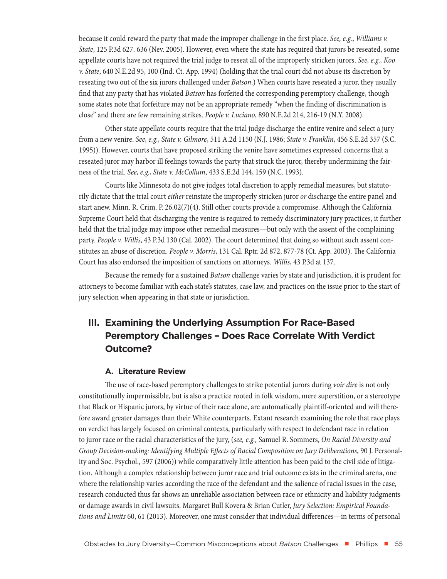<span id="page-10-0"></span>because it could reward the party that made the improper challenge in the first place. *See, e.g.*, *Williams v. State*, 125 P.3d 627. 636 (Nev. 2005). However, even where the state has required that jurors be reseated, some appellate courts have not required the trial judge to reseat all of the improperly stricken jurors. *See, e.g., Koo v. State*, 640 N.E.2d 95, 100 (Ind. Ct. App. 1994) (holding that the trial court did not abuse its discretion by reseating two out of the six jurors challenged under *Batson*.) When courts have reseated a juror, they usually find that any party that has violated *Batson* has forfeited the corresponding peremptory challenge, though some states note that forfeiture may not be an appropriate remedy "when the finding of discrimination is close" and there are few remaining strikes. *People v. Luciano*, 890 N.E.2d 214, 216-19 (N.Y. 2008).

Other state appellate courts require that the trial judge discharge the entire venire and select a jury from a new venire. *See, e.g., State v. Gilmore*, 511 A.2d 1150 (N.J. 1986; *State v. Franklin*, 456 S.E.2d 357 (S.C. 1995)). However, courts that have proposed striking the venire have sometimes expressed concerns that a reseated juror may harbor ill feelings towards the party that struck the juror, thereby undermining the fairness of the trial. *See, e.g.*, *State v. McCollum*, 433 S.E.2d 144, 159 (N.C. 1993).

Courts like Minnesota do not give judges total discretion to apply remedial measures, but statutorily dictate that the trial court *either* reinstate the improperly stricken juror *or* discharge the entire panel and start anew. Minn. R. Crim. P. 26.02(7)(4). Still other courts provide a compromise. Although the California Supreme Court held that discharging the venire is required to remedy discriminatory jury practices, it further held that the trial judge may impose other remedial measures—but only with the assent of the complaining party. *People v. Willis*, 43 P.3d 130 (Cal. 2002). The court determined that doing so without such assent constitutes an abuse of discretion. *People v. Morris*, 131 Cal. Rptr. 2d 872, 877-78 (Ct. App. 2003). The California Court has also endorsed the imposition of sanctions on attorneys. *Willis*, 43 P.3d at 137.

Because the remedy for a sustained *Batson* challenge varies by state and jurisdiction, it is prudent for attorneys to become familiar with each state's statutes, case law, and practices on the issue prior to the start of jury selection when appearing in that state or jurisdiction.

### **III. Examining the Underlying Assumption For Race-Based Peremptory Challenges – Does Race Correlate With Verdict Outcome?**

#### **A. Literature Review**

The use of race-based peremptory challenges to strike potential jurors during *voir dire* is not only constitutionally impermissible, but is also a practice rooted in folk wisdom, mere superstition, or a stereotype that Black or Hispanic jurors, by virtue of their race alone, are automatically plaintiff-oriented and will therefore award greater damages than their White counterparts. Extant research examining the role that race plays on verdict has largely focused on criminal contexts, particularly with respect to defendant race in relation to juror race or the racial characteristics of the jury, (*see, e.g.,* Samuel R. Sommers, *On Racial Diversity and Group Decision-making: Identifying Multiple Effects of Racial Composition on Jury Deliberations*, 90 J. Personality and Soc. Psychol., 597 (2006)) while comparatively little attention has been paid to the civil side of litigation. Although a complex relationship between juror race and trial outcome exists in the criminal arena, one where the relationship varies according the race of the defendant and the salience of racial issues in the case, research conducted thus far shows an unreliable association between race or ethnicity and liability judgments or damage awards in civil lawsuits. Margaret Bull Kovera & Brian Cutler, *Jury Selection: Empirical Foundations and Limits* 60, 61 (2013). Moreover, one must consider that individual differences—in terms of personal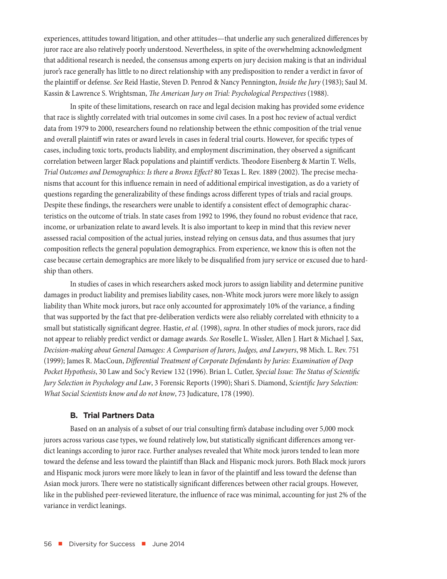<span id="page-11-0"></span>experiences, attitudes toward litigation, and other attitudes—that underlie any such generalized differences by juror race are also relatively poorly understood. Nevertheless, in spite of the overwhelming acknowledgment that additional research is needed, the consensus among experts on jury decision making is that an individual juror's race generally has little to no direct relationship with any predisposition to render a verdict in favor of the plaintiff or defense. *See* Reid Hastie, Steven D. Penrod & Nancy Pennington, *Inside the Jury* (1983); Saul M. Kassin & Lawrence S. Wrightsman, *The American Jury on Trial: Psychological Perspectives* (1988).

In spite of these limitations, research on race and legal decision making has provided some evidence that race is slightly correlated with trial outcomes in some civil cases. In a post hoc review of actual verdict data from 1979 to 2000, researchers found no relationship between the ethnic composition of the trial venue and overall plaintiff win rates or award levels in cases in federal trial courts. However, for specific types of cases, including toxic torts, products liability, and employment discrimination, they observed a significant correlation between larger Black populations and plaintiff verdicts. Theodore Eisenberg & Martin T. Wells, *Trial Outcomes and Demographics: Is there a Bronx Effect?* 80 Texas L. Rev. 1889 (2002). The precise mechanisms that account for this influence remain in need of additional empirical investigation, as do a variety of questions regarding the generalizability of these findings across different types of trials and racial groups. Despite these findings, the researchers were unable to identify a consistent effect of demographic characteristics on the outcome of trials. In state cases from 1992 to 1996, they found no robust evidence that race, income, or urbanization relate to award levels. It is also important to keep in mind that this review never assessed racial composition of the actual juries, instead relying on census data, and thus assumes that jury composition reflects the general population demographics. From experience, we know this is often not the case because certain demographics are more likely to be disqualified from jury service or excused due to hardship than others.

In studies of cases in which researchers asked mock jurors to assign liability and determine punitive damages in product liability and premises liability cases, non-White mock jurors were more likely to assign liability than White mock jurors, but race only accounted for approximately 10% of the variance, a finding that was supported by the fact that pre-deliberation verdicts were also reliably correlated with ethnicity to a small but statistically significant degree. Hastie, *et al.* (1998), *supra*. In other studies of mock jurors, race did not appear to reliably predict verdict or damage awards. *See* Roselle L. Wissler, Allen J. Hart & Michael J. Sax, *Decision-making about General Damages: A Comparison of Jurors, Judges, and Lawyers*, 98 Mich. L. Rev. 751 (1999); James R. MacCoun, *Differential Treatment of Corporate Defendants by Juries: Examination of Deep Pocket Hypothesis*, 30 Law and Soc'y Review 132 (1996). Brian L. Cutler, *Special Issue: The Status of Scientific Jury Selection in Psychology and Law*, 3 Forensic Reports (1990); Shari S. Diamond, *Scientific Jury Selection: What Social Scientists know and do not know*, 73 Judicature, 178 (1990).

#### **B. Trial Partners Data**

Based on an analysis of a subset of our trial consulting firm's database including over 5,000 mock jurors across various case types, we found relatively low, but statistically significant differences among verdict leanings according to juror race. Further analyses revealed that White mock jurors tended to lean more toward the defense and less toward the plaintiff than Black and Hispanic mock jurors. Both Black mock jurors and Hispanic mock jurors were more likely to lean in favor of the plaintiff and less toward the defense than Asian mock jurors. There were no statistically significant differences between other racial groups. However, like in the published peer-reviewed literature, the influence of race was minimal, accounting for just 2% of the variance in verdict leanings.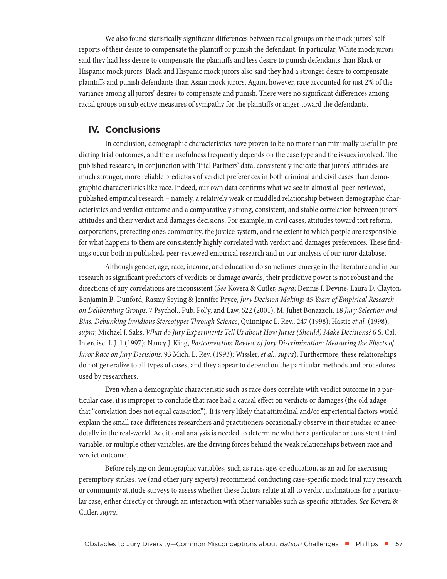<span id="page-12-0"></span>We also found statistically significant differences between racial groups on the mock jurors' selfreports of their desire to compensate the plaintiff or punish the defendant. In particular, White mock jurors said they had less desire to compensate the plaintiffs and less desire to punish defendants than Black or Hispanic mock jurors. Black and Hispanic mock jurors also said they had a stronger desire to compensate plaintiffs and punish defendants than Asian mock jurors. Again, however, race accounted for just 2% of the variance among all jurors' desires to compensate and punish. There were no significant differences among racial groups on subjective measures of sympathy for the plaintiffs or anger toward the defendants.

#### **IV. Conclusions**

In conclusion, demographic characteristics have proven to be no more than minimally useful in predicting trial outcomes, and their usefulness frequently depends on the case type and the issues involved. The published research, in conjunction with Trial Partners' data, consistently indicate that jurors' attitudes are much stronger, more reliable predictors of verdict preferences in both criminal and civil cases than demographic characteristics like race. Indeed, our own data confirms what we see in almost all peer-reviewed, published empirical research – namely, a relatively weak or muddled relationship between demographic characteristics and verdict outcome and a comparatively strong, consistent, and stable correlation between jurors' attitudes and their verdict and damages decisions. For example, in civil cases, attitudes toward tort reform, corporations, protecting one's community, the justice system, and the extent to which people are responsible for what happens to them are consistently highly correlated with verdict and damages preferences. These findings occur both in published, peer-reviewed empirical research and in our analysis of our juror database.

Although gender, age, race, income, and education do sometimes emerge in the literature and in our research as significant predictors of verdicts or damage awards, their predictive power is not robust and the directions of any correlations are inconsistent (*See* Kovera & Cutler, *supra*; Dennis J. Devine, Laura D. Clayton, Benjamin B. Dunford, Rasmy Seying & Jennifer Pryce, *Jury Decision Making: 45 Years of Empirical Research on Deliberating Groups*, 7 Psychol., Pub. Pol'y, and Law, 622 (2001); M. Juliet Bonazzoli, 18 *Jury Selection and Bias: Debunking Invidious Stereotypes Through Science*, Quinnipac L. Rev., 247 (1998); Hastie *et al.* (1998), *supra*; Michael J. Saks, *What do Jury Experiments Tell Us about How Juries (Should) Make Decisions?* 6 S. Cal. Interdisc. L.J. 1 (1997); Nancy J. King, *Postconviction Review of Jury Discrimination: Measuring the Effects of Juror Race on Jury Decisions*, 93 Mich. L. Rev. (1993); Wissler, *et al.*, *supra*). Furthermore, these relationships do not generalize to all types of cases, and they appear to depend on the particular methods and procedures used by researchers.

Even when a demographic characteristic such as race does correlate with verdict outcome in a particular case, it is improper to conclude that race had a causal effect on verdicts or damages (the old adage that "correlation does not equal causation"). It is very likely that attitudinal and/or experiential factors would explain the small race differences researchers and practitioners occasionally observe in their studies or anecdotally in the real-world. Additional analysis is needed to determine whether a particular or consistent third variable, or multiple other variables, are the driving forces behind the weak relationships between race and verdict outcome.

Before relying on demographic variables, such as race, age, or education, as an aid for exercising peremptory strikes, we (and other jury experts) recommend conducting case-specific mock trial jury research or community attitude surveys to assess whether these factors relate at all to verdict inclinations for a particular case, either directly or through an interaction with other variables such as specific attitudes. *See* Kovera & Cutler, *supra*.